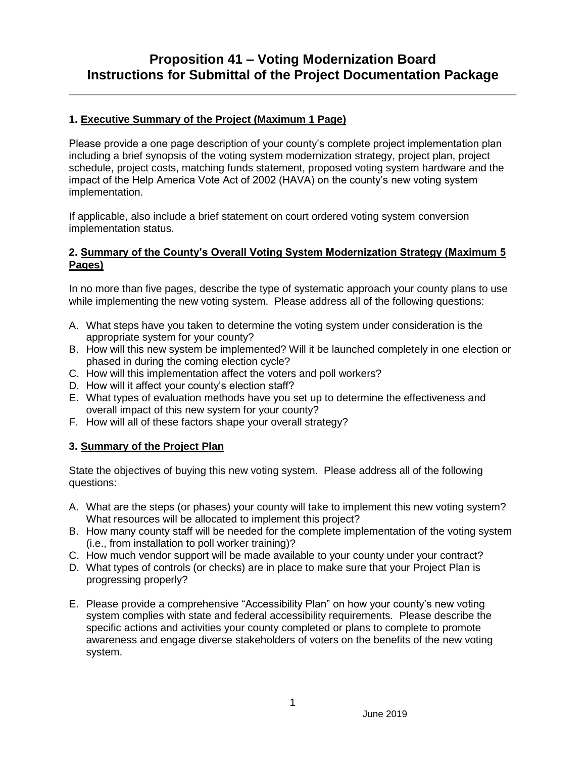# **Proposition 41 – Voting Modernization Board Instructions for Submittal of the Project Documentation Package**

#### **1. Executive Summary of the Project (Maximum 1 Page)**

Please provide a one page description of your county's complete project implementation plan including a brief synopsis of the voting system modernization strategy, project plan, project schedule, project costs, matching funds statement, proposed voting system hardware and the impact of the Help America Vote Act of 2002 (HAVA) on the county's new voting system implementation.

If applicable, also include a brief statement on court ordered voting system conversion implementation status.

#### **2. Summary of the County's Overall Voting System Modernization Strategy (Maximum 5 Pages)**

In no more than five pages, describe the type of systematic approach your county plans to use while implementing the new voting system. Please address all of the following questions:

- A. What steps have you taken to determine the voting system under consideration is the appropriate system for your county?
- B. How will this new system be implemented? Will it be launched completely in one election or phased in during the coming election cycle?
- C. How will this implementation affect the voters and poll workers?
- D. How will it affect your county's election staff?
- E. What types of evaluation methods have you set up to determine the effectiveness and overall impact of this new system for your county?
- F. How will all of these factors shape your overall strategy?

#### **3. Summary of the Project Plan**

State the objectives of buying this new voting system. Please address all of the following questions:

- A. What are the steps (or phases) your county will take to implement this new voting system? What resources will be allocated to implement this project?
- B. How many county staff will be needed for the complete implementation of the voting system (i.e., from installation to poll worker training)?
- C. How much vendor support will be made available to your county under your contract?
- D. What types of controls (or checks) are in place to make sure that your Project Plan is progressing properly?
- E. Please provide a comprehensive "Accessibility Plan" on how your county's new voting system complies with state and federal accessibility requirements. Please describe the specific actions and activities your county completed or plans to complete to promote awareness and engage diverse stakeholders of voters on the benefits of the new voting system.